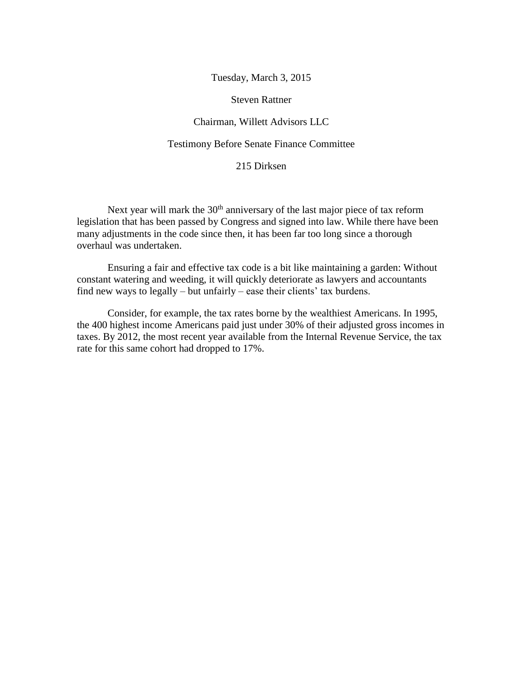Tuesday, March 3, 2015

Steven Rattner

### Chairman, Willett Advisors LLC

### Testimony Before Senate Finance Committee

### 215 Dirksen

Next year will mark the  $30<sup>th</sup>$  anniversary of the last major piece of tax reform legislation that has been passed by Congress and signed into law. While there have been many adjustments in the code since then, it has been far too long since a thorough overhaul was undertaken.

Ensuring a fair and effective tax code is a bit like maintaining a garden: Without constant watering and weeding, it will quickly deteriorate as lawyers and accountants find new ways to legally – but unfairly – ease their clients' tax burdens.

Consider, for example, the tax rates borne by the wealthiest Americans. In 1995, the 400 highest income Americans paid just under 30% of their adjusted gross incomes in taxes. By 2012, the most recent year available from the Internal Revenue Service, the tax rate for this same cohort had dropped to 17%.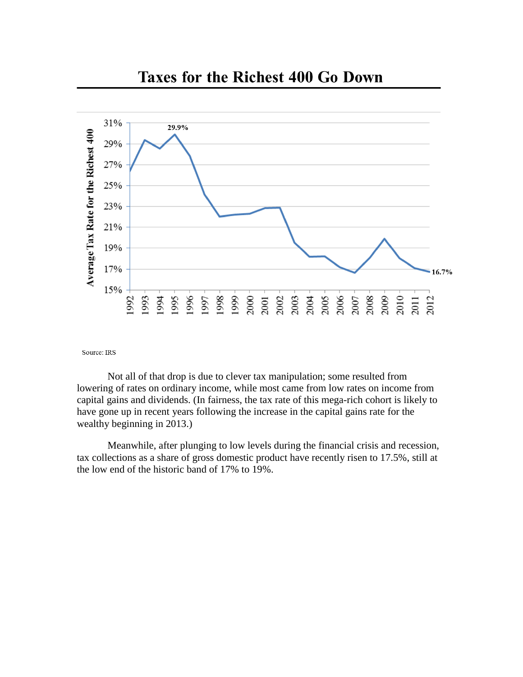

### **Taxes for the Richest 400 Go Down**

Source: IRS

Not all of that drop is due to clever tax manipulation; some resulted from lowering of rates on ordinary income, while most came from low rates on income from capital gains and dividends. (In fairness, the tax rate of this mega-rich cohort is likely to have gone up in recent years following the increase in the capital gains rate for the wealthy beginning in 2013.)

Meanwhile, after plunging to low levels during the financial crisis and recession, tax collections as a share of gross domestic product have recently risen to 17.5%, still at the low end of the historic band of 17% to 19%.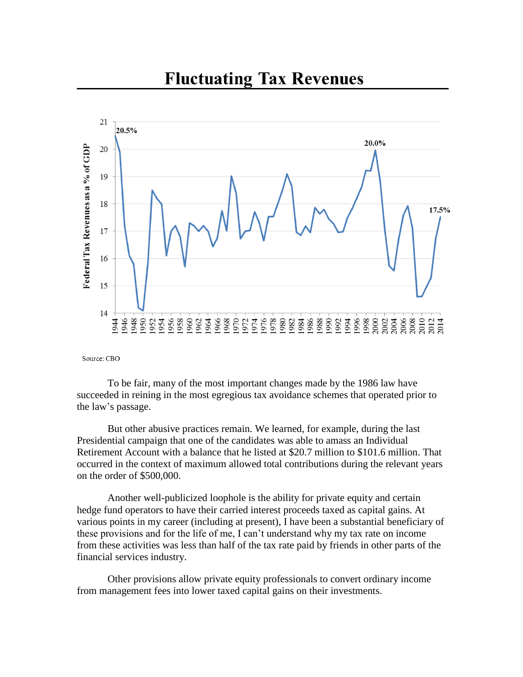

## **Fluctuating Tax Revenues**

Source: CBO

To be fair, many of the most important changes made by the 1986 law have succeeded in reining in the most egregious tax avoidance schemes that operated prior to the law's passage.

But other abusive practices remain. We learned, for example, during the last Presidential campaign that one of the candidates was able to amass an Individual Retirement Account with a balance that he listed at \$20.7 million to \$101.6 million. That occurred in the context of maximum allowed total contributions during the relevant years on the order of \$500,000.

Another well-publicized loophole is the ability for private equity and certain hedge fund operators to have their carried interest proceeds taxed as capital gains. At various points in my career (including at present), I have been a substantial beneficiary of these provisions and for the life of me, I can't understand why my tax rate on income from these activities was less than half of the tax rate paid by friends in other parts of the financial services industry.

Other provisions allow private equity professionals to convert ordinary income from management fees into lower taxed capital gains on their investments.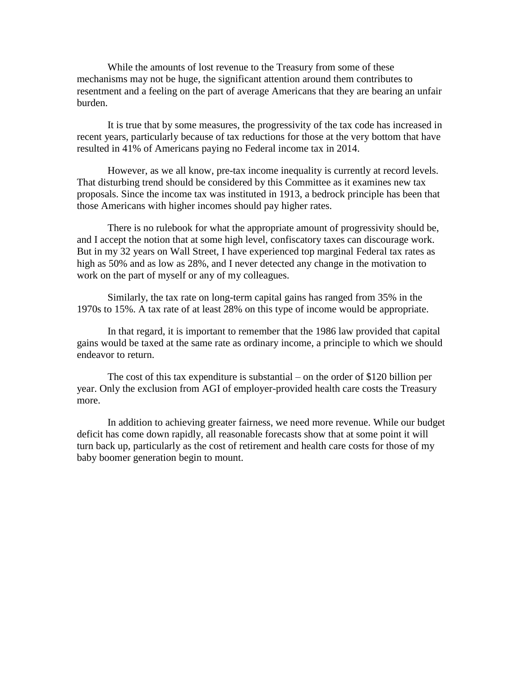While the amounts of lost revenue to the Treasury from some of these mechanisms may not be huge, the significant attention around them contributes to resentment and a feeling on the part of average Americans that they are bearing an unfair burden.

It is true that by some measures, the progressivity of the tax code has increased in recent years, particularly because of tax reductions for those at the very bottom that have resulted in 41% of Americans paying no Federal income tax in 2014.

However, as we all know, pre-tax income inequality is currently at record levels. That disturbing trend should be considered by this Committee as it examines new tax proposals. Since the income tax was instituted in 1913, a bedrock principle has been that those Americans with higher incomes should pay higher rates.

There is no rulebook for what the appropriate amount of progressivity should be, and I accept the notion that at some high level, confiscatory taxes can discourage work. But in my 32 years on Wall Street, I have experienced top marginal Federal tax rates as high as 50% and as low as 28%, and I never detected any change in the motivation to work on the part of myself or any of my colleagues.

Similarly, the tax rate on long-term capital gains has ranged from 35% in the 1970s to 15%. A tax rate of at least 28% on this type of income would be appropriate.

In that regard, it is important to remember that the 1986 law provided that capital gains would be taxed at the same rate as ordinary income, a principle to which we should endeavor to return.

The cost of this tax expenditure is substantial – on the order of \$120 billion per year. Only the exclusion from AGI of employer-provided health care costs the Treasury more.

In addition to achieving greater fairness, we need more revenue. While our budget deficit has come down rapidly, all reasonable forecasts show that at some point it will turn back up, particularly as the cost of retirement and health care costs for those of my baby boomer generation begin to mount.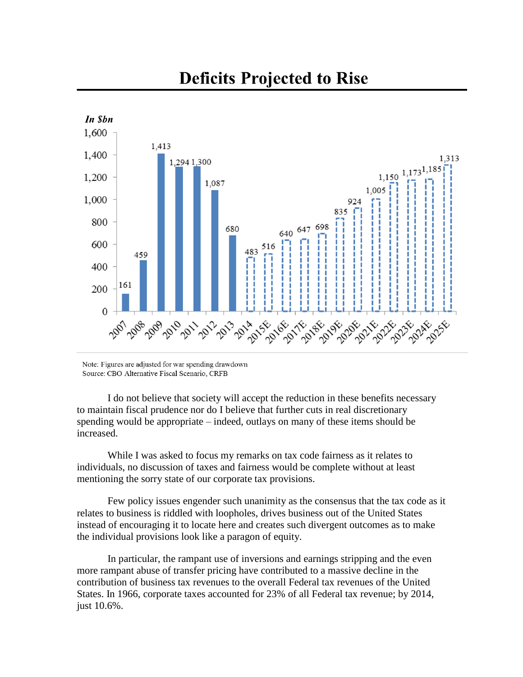# **Deficits Projected to Rise**



Note: Figures are adjusted for war spending drawdown Source: CBO Alternative Fiscal Scenario, CRFB

I do not believe that society will accept the reduction in these benefits necessary to maintain fiscal prudence nor do I believe that further cuts in real discretionary spending would be appropriate – indeed, outlays on many of these items should be increased.

While I was asked to focus my remarks on tax code fairness as it relates to individuals, no discussion of taxes and fairness would be complete without at least mentioning the sorry state of our corporate tax provisions.

Few policy issues engender such unanimity as the consensus that the tax code as it relates to business is riddled with loopholes, drives business out of the United States instead of encouraging it to locate here and creates such divergent outcomes as to make the individual provisions look like a paragon of equity.

In particular, the rampant use of inversions and earnings stripping and the even more rampant abuse of transfer pricing have contributed to a massive decline in the contribution of business tax revenues to the overall Federal tax revenues of the United States. In 1966, corporate taxes accounted for 23% of all Federal tax revenue; by 2014, just 10.6%.